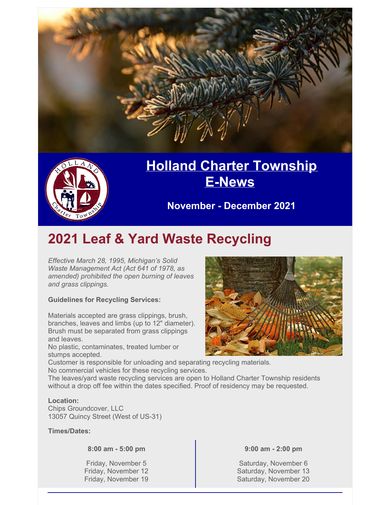



## **Holland Charter [Township](http://www.hct.holland.mi.us/) [E-News](http://www.hct.holland.mi.us/)**

**November - December 2021**

### **2021 Leaf & Yard Waste Recycling**

*Effective March 28, 1995, Michigan's Solid Waste Management Act (Act 641 of 1978, as amended) prohibited the open burning of leaves and grass clippings.*

#### **Guidelines for Recycling Services:**

Materials accepted are grass clippings, brush, branches, leaves and limbs (up to 12" diameter). Brush must be separated from grass clippings and leaves.

No plastic, contaminates, treated lumber or stumps accepted.

Customer is responsible for unloading and separating recycling materials. No commercial vehicles for these recycling services.

The leaves/yard waste recycling services are open to Holland Charter Township residents without a drop off fee within the dates specified. Proof of residency may be requested.

#### **Location:**

Chips Groundcover, LLC 13057 Quincy Street (West of US-31)

**Times/Dates:**

**8:00 am - 5:00 pm**

Friday, November 5 Friday, November 12 Friday, November 19



**9:00 am - 2:00 pm**

Saturday, November 6 Saturday, November 13 Saturday, November 20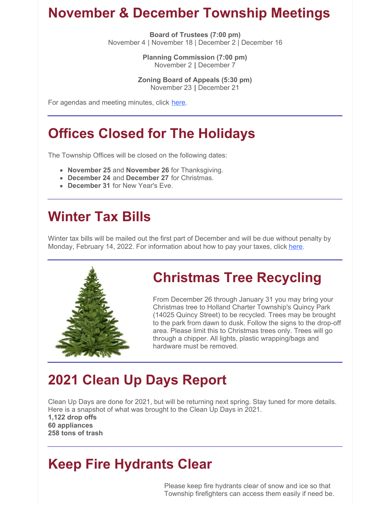#### **November & December Township Meetings**

**Board of Trustees (7:00 pm)** November 4 | November 18 | December 2 | December 16

> **Planning Commission (7:00 pm)** November 2 **|** December 7

**Zoning Board of Appeals (5:30 pm)** November 23 **|** December 21

For agendas and meeting minutes, click [here](https://www.hct.holland.mi.us/agendas-minutes).

## **Offices Closed for The Holidays**

The Township Offices will be closed on the following dates:

- **November 25** and **November 26** for Thanksgiving.
- **December 24** and **December 27** for Christmas.
- **December 31** for New Year's Eve.

## **Winter Tax Bills**

Winter tax bills will be mailed out the first part of December and will be due without penalty by Monday, February 14, 2022. For information about how to pay your taxes, click [here](https://hct.holland.mi.us/online-payments/51-holland-charter-township/quick-links/752-property-tax-credit-card-payments).



## **Christmas Tree Recycling**

From December 26 through January 31 you may bring your Christmas tree to Holland Charter Township's Quincy Park (14025 Quincy Street) to be recycled. Trees may be brought to the park from dawn to dusk. Follow the signs to the drop-off area. Please limit this to Christmas trees only. Trees will go through a chipper. All lights, plastic wrapping/bags and hardware must be removed.

# **2021 Clean Up Days Report**

Clean Up Days are done for 2021, but will be returning next spring. Stay tuned for more details. Here is a snapshot of what was brought to the Clean Up Days in 2021. **1,122 drop offs 60 appliances 258 tons of trash**

# **Keep Fire Hydrants Clear**

Please keep fire hydrants clear of snow and ice so that Township firefighters can access them easily if need be.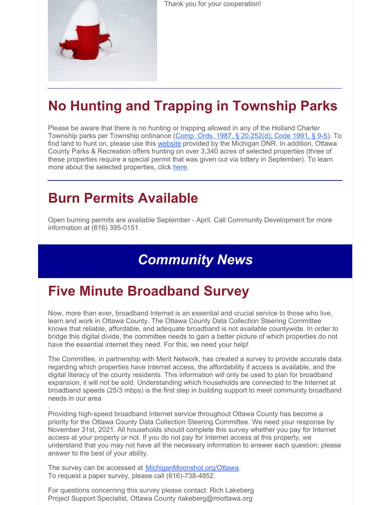

Thank you for your cooperation!

# **No Hunting and Trapping in Township Parks**

Please be aware that there is no hunting or trapping allowed in any of the Holland Charter Township parks per Township ordinance (Comp. Ords. 1987, § [20.252\(d\);](https://library.municode.com/mi/holland_charter_township,_(ottawa_co.)/codes/code_of_ordinances?nodeId=COOR_CH20PARE_S20-5MOAN) Code 1991, § 9-5). To find land to hunt on, please use this [website](https://www.michigan.gov/dnr/0,4570,7-350-79119_79147_81529---,00.html) provided by the Michigan DNR. In addition, Ottawa County Parks & Recreation offers hunting on over 3,340 acres of selected properties (three of these properties require a special permit that was given out via lottery in September). To learn more about the selected properties, click [here](https://miottawa.org/Parks/hunting.htm?utm_medium=email&utm_source=govdelivery).

#### **Burn Permits Available**

Open burning permits are available September - April. Call Community Development for more information at (616) 395-0151.

### *Community News*

### **Five Minute Broadband Survey**

Now, more than ever, broadband Internet is an essential and crucial service to those who live, learn and work in Ottawa County. The Ottawa County Data Collection Steering Committee knows that reliable, affordable, and adequate broadband is not available countywide. In order to bridge this digital divide, the committee needs to gain a better picture of which properties do not have the essential internet they need. For this, we need your help!

The Committee, in partnership with Merit Network, has created a survey to provide accurate data regarding which properties have Internet access, the affordability if access is available, and the digital literacy of the county residents. This information will only be used to plan for broadband expansion, it will not be sold. Understanding which households are connected to the Internet at broadband speeds (25/3 mbps) is the first step in building support to meet community broadband needs in our area

. Providing high-speed broadband Internet service throughout Ottawa County has become a priority for the Ottawa County Data Collection Steering Committee. We need your response by November 31st, 2021. All households should complete this survey whether you pay for Internet access at your property or not. If you do not pay for Internet access at this property, we understand that you may not have all the necessary information to answer each question; please answer to the best of your ability.

The survey can be accessed at [MichiganMoonshot.org/Ottawa](http://michiganmoonshot.org/Ottawa). To request a paper survey, please call (616)-738-4852.

For questions concerning this survey please contact: Rich Lakeberg Project Support Specialist, Ottawa County rlakeberg@miottawa.org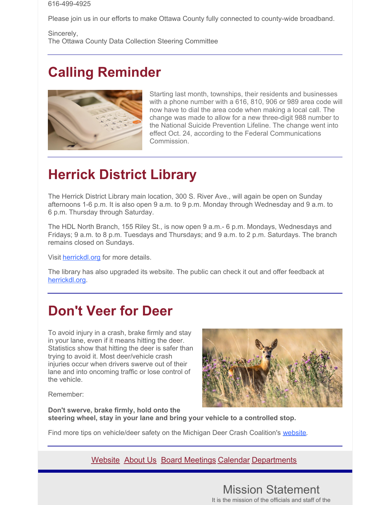#### 616-499-4925

Please join us in our efforts to make Ottawa County fully connected to county-wide broadband.

Sincerely, The Ottawa County Data Collection Steering Committee

## **Calling Reminder**



Starting last month, townships, their residents and businesses with a phone number with a 616, 810, 906 or 989 area code will now have to dial the area code when making a local call. The change was made to allow for a new three-digit 988 number to the National Suicide Prevention Lifeline. The change went into effect Oct. 24, according to the Federal Communications Commission.

### **Herrick District Library**

The Herrick District Library main location, 300 S. River Ave., will again be open on Sunday afternoons 1-6 p.m. It is also open 9 a.m. to 9 p.m. Monday through Wednesday and 9 a.m. to 6 p.m. Thursday through Saturday.

The HDL North Branch, 155 Riley St., is now open 9 a.m.- 6 p.m. Mondays, Wednesdays and Fridays; 9 a.m. to 8 p.m. Tuesdays and Thursdays; and 9 a.m. to 2 p.m. Saturdays. The branch remains closed on Sundays.

Visit [herrickdl.org](https://herrickdl.org/) for more details.

The library has also upgraded its website. The public can check it out and offer feedback at [herrickdl.org](https://herrickdl.org/).

#### **Don't Veer for Deer**

To avoid injury in a crash, brake firmly and stay in your lane, even if it means hitting the deer. Statistics show that hitting the deer is safer than trying to avoid it. Most deer/vehicle crash injuries occur when drivers swerve out of their lane and into oncoming traffic or lose control of the vehicle.



Remember:

**Don't swerve, brake firmly, hold onto the steering wheel, stay in your lane and bring your vehicle to a controlled stop.**

Find more tips on vehicle/deer safety on the Michigan Deer Crash Coalition's [website](https://www.michigan.gov/msp/0,4643,7-123-72297_64773_22760-95455--,00.html).

#### [Website](http://www.hct.holland.mi.us/) [About](http://www.hct.holland.mi.us/about-us) Us Board [Meetings](https://www.hct.holland.mi.us/deadlines-schedules) [Calendar](https://www.hct.holland.mi.us/calendar) [Departments](http://www.hct.holland.mi.us/departments)

#### Mission Statement It is the mission of the officials and staff of the